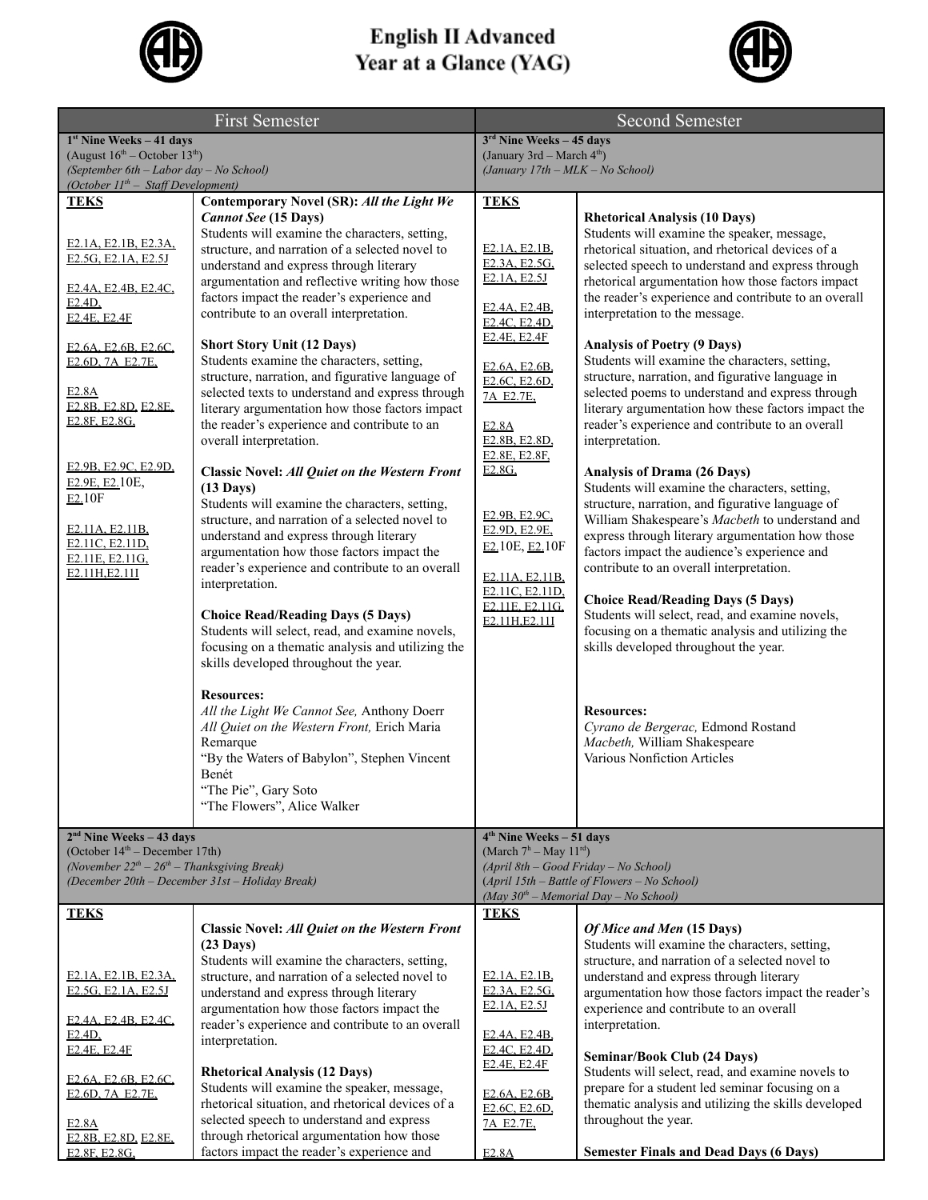

## **English II Advanced<br>Year at a Glance (YAG)**



| <b>First Semester</b>                                                                                                                                                                                                                                                                                                                                                           |                                                                                                                                                                                                                                                                                                                                                                                                                                                                                                                                                                                                                                                                                                                                                                                                                                                                                                                                                                                                                                                                                                                                                                                                                                                                                                                                                                                                                                                                                     | <b>Second Semester</b>                                                                                                                                                                                                                                                                                                                                                                                                   |                                                                                                                                                                                                                                                                                                                                                                                                                                                                                                                                                                                                                                                                                                                                                                                                                                                                                                                                                                                                                                                                                                                                                                                                                                                                                                                                                  |
|---------------------------------------------------------------------------------------------------------------------------------------------------------------------------------------------------------------------------------------------------------------------------------------------------------------------------------------------------------------------------------|-------------------------------------------------------------------------------------------------------------------------------------------------------------------------------------------------------------------------------------------------------------------------------------------------------------------------------------------------------------------------------------------------------------------------------------------------------------------------------------------------------------------------------------------------------------------------------------------------------------------------------------------------------------------------------------------------------------------------------------------------------------------------------------------------------------------------------------------------------------------------------------------------------------------------------------------------------------------------------------------------------------------------------------------------------------------------------------------------------------------------------------------------------------------------------------------------------------------------------------------------------------------------------------------------------------------------------------------------------------------------------------------------------------------------------------------------------------------------------------|--------------------------------------------------------------------------------------------------------------------------------------------------------------------------------------------------------------------------------------------------------------------------------------------------------------------------------------------------------------------------------------------------------------------------|--------------------------------------------------------------------------------------------------------------------------------------------------------------------------------------------------------------------------------------------------------------------------------------------------------------------------------------------------------------------------------------------------------------------------------------------------------------------------------------------------------------------------------------------------------------------------------------------------------------------------------------------------------------------------------------------------------------------------------------------------------------------------------------------------------------------------------------------------------------------------------------------------------------------------------------------------------------------------------------------------------------------------------------------------------------------------------------------------------------------------------------------------------------------------------------------------------------------------------------------------------------------------------------------------------------------------------------------------|
| $1st$ Nine Weeks - 41 days                                                                                                                                                                                                                                                                                                                                                      |                                                                                                                                                                                                                                                                                                                                                                                                                                                                                                                                                                                                                                                                                                                                                                                                                                                                                                                                                                                                                                                                                                                                                                                                                                                                                                                                                                                                                                                                                     | $3rd$ Nine Weeks - 45 days                                                                                                                                                                                                                                                                                                                                                                                               |                                                                                                                                                                                                                                                                                                                                                                                                                                                                                                                                                                                                                                                                                                                                                                                                                                                                                                                                                                                                                                                                                                                                                                                                                                                                                                                                                  |
| (August $16^{th}$ – October $13^{th}$ )<br>(September 6th - Labor day - No School)                                                                                                                                                                                                                                                                                              |                                                                                                                                                                                                                                                                                                                                                                                                                                                                                                                                                                                                                                                                                                                                                                                                                                                                                                                                                                                                                                                                                                                                                                                                                                                                                                                                                                                                                                                                                     | (January 3rd – March 4 <sup>th</sup> )<br>(January 17th - MLK - No School)                                                                                                                                                                                                                                                                                                                                               |                                                                                                                                                                                                                                                                                                                                                                                                                                                                                                                                                                                                                                                                                                                                                                                                                                                                                                                                                                                                                                                                                                                                                                                                                                                                                                                                                  |
| (October 11 <sup>th</sup> - Staff Development)                                                                                                                                                                                                                                                                                                                                  |                                                                                                                                                                                                                                                                                                                                                                                                                                                                                                                                                                                                                                                                                                                                                                                                                                                                                                                                                                                                                                                                                                                                                                                                                                                                                                                                                                                                                                                                                     |                                                                                                                                                                                                                                                                                                                                                                                                                          |                                                                                                                                                                                                                                                                                                                                                                                                                                                                                                                                                                                                                                                                                                                                                                                                                                                                                                                                                                                                                                                                                                                                                                                                                                                                                                                                                  |
| <b>TEKS</b><br>E2.1A, E2.1B, E2.3A,<br>E <sub>2.5</sub> G, E <sub>2.1</sub> A, E <sub>2.5</sub> J<br>E2.4A, E2.4B, E2.4C,<br>E2.4D<br>E2.4E, E2.4F<br>E2.6A, E2.6B, E2.6C,<br>E2.6D, 7A E2.7E,<br>E2.8A<br>E2.8B, E2.8D, E2.8E,<br>E2.8F, E2.8G,<br>E2.9B, E2.9C, E2.9D,<br>E2.9E, E2.10E,<br>E2.10F<br>E2.11A, E2.11B,<br>E2.11C, E2.11D,<br>E2.11E, E2.11G,<br>E2.11H, E2.11I | Contemporary Novel (SR): All the Light We<br><b>Cannot See (15 Days)</b><br>Students will examine the characters, setting,<br>structure, and narration of a selected novel to<br>understand and express through literary<br>argumentation and reflective writing how those<br>factors impact the reader's experience and<br>contribute to an overall interpretation.<br><b>Short Story Unit (12 Days)</b><br>Students examine the characters, setting,<br>structure, narration, and figurative language of<br>selected texts to understand and express through<br>literary argumentation how those factors impact<br>the reader's experience and contribute to an<br>overall interpretation.<br>Classic Novel: All Quiet on the Western Front<br>$(13 \text{ Days})$<br>Students will examine the characters, setting,<br>structure, and narration of a selected novel to<br>understand and express through literary<br>argumentation how those factors impact the<br>reader's experience and contribute to an overall<br>interpretation.<br><b>Choice Read/Reading Days (5 Days)</b><br>Students will select, read, and examine novels,<br>focusing on a thematic analysis and utilizing the<br>skills developed throughout the year.<br><b>Resources:</b><br>All the Light We Cannot See, Anthony Doerr<br>All Quiet on the Western Front, Erich Maria<br>Remarque<br>"By the Waters of Babylon", Stephen Vincent<br>Benét<br>"The Pie", Gary Soto<br>"The Flowers", Alice Walker | <b>TEKS</b><br>E2.1A, E2.1B,<br>E2.3A, E2.5G,<br>E2.1A, E2.5J<br>E2.4A, E2.4B,<br>E <sub>2.4</sub> C, E <sub>2.4</sub> D <sub>,</sub><br>E2.4E, E2.4F<br>E2.6A, E2.6B,<br>E <sub>2.6</sub> C, E <sub>2.6</sub> D,<br>7A E2.7E,<br><b>E2.8A</b><br>E2.8B, E2.8D,<br>E2.8E, E2.8F,<br>E2.8G<br>E2.9B, E2.9C,<br>E2.9D, E2.9E,<br>E2.10E, E2.10F<br>E2.11A, E2.11B,<br>E2.11C, E2.11D,<br>E2.11E, E2.11G.<br>E2.11H, E2.11I | <b>Rhetorical Analysis (10 Days)</b><br>Students will examine the speaker, message,<br>rhetorical situation, and rhetorical devices of a<br>selected speech to understand and express through<br>rhetorical argumentation how those factors impact<br>the reader's experience and contribute to an overall<br>interpretation to the message.<br><b>Analysis of Poetry (9 Days)</b><br>Students will examine the characters, setting,<br>structure, narration, and figurative language in<br>selected poems to understand and express through<br>literary argumentation how these factors impact the<br>reader's experience and contribute to an overall<br>interpretation.<br><b>Analysis of Drama (26 Days)</b><br>Students will examine the characters, setting,<br>structure, narration, and figurative language of<br>William Shakespeare's Macbeth to understand and<br>express through literary argumentation how those<br>factors impact the audience's experience and<br>contribute to an overall interpretation.<br><b>Choice Read/Reading Days (5 Days)</b><br>Students will select, read, and examine novels,<br>focusing on a thematic analysis and utilizing the<br>skills developed throughout the year.<br><b>Resources:</b><br>Cyrano de Bergerac, Edmond Rostand<br>Macbeth, William Shakespeare<br>Various Nonfiction Articles |
| $2nd$ Nine Weeks – 43 days                                                                                                                                                                                                                                                                                                                                                      |                                                                                                                                                                                                                                                                                                                                                                                                                                                                                                                                                                                                                                                                                                                                                                                                                                                                                                                                                                                                                                                                                                                                                                                                                                                                                                                                                                                                                                                                                     | $4th$ Nine Weeks – 51 days                                                                                                                                                                                                                                                                                                                                                                                               |                                                                                                                                                                                                                                                                                                                                                                                                                                                                                                                                                                                                                                                                                                                                                                                                                                                                                                                                                                                                                                                                                                                                                                                                                                                                                                                                                  |
| (October $14th$ – December 17th)<br>(November $22^{th} - 26^{th} -$ Thanksgiving Break)<br>(December 20th - December 31st - Holiday Break)                                                                                                                                                                                                                                      |                                                                                                                                                                                                                                                                                                                                                                                                                                                                                                                                                                                                                                                                                                                                                                                                                                                                                                                                                                                                                                                                                                                                                                                                                                                                                                                                                                                                                                                                                     | (March $7^h$ – May 11 <sup>rd</sup> )<br>(April 8th - Good Friday - No School)<br>(April 15th - Battle of Flowers - No School)<br>(May $30^{th}$ – Memorial Day – No School)                                                                                                                                                                                                                                             |                                                                                                                                                                                                                                                                                                                                                                                                                                                                                                                                                                                                                                                                                                                                                                                                                                                                                                                                                                                                                                                                                                                                                                                                                                                                                                                                                  |
| <b>TEKS</b>                                                                                                                                                                                                                                                                                                                                                                     | Classic Novel: All Quiet on the Western Front<br>$(23 \text{ Days})$<br>Students will examine the characters, setting,                                                                                                                                                                                                                                                                                                                                                                                                                                                                                                                                                                                                                                                                                                                                                                                                                                                                                                                                                                                                                                                                                                                                                                                                                                                                                                                                                              | <b>TEKS</b>                                                                                                                                                                                                                                                                                                                                                                                                              | Of Mice and Men (15 Days)<br>Students will examine the characters, setting,<br>structure, and narration of a selected novel to                                                                                                                                                                                                                                                                                                                                                                                                                                                                                                                                                                                                                                                                                                                                                                                                                                                                                                                                                                                                                                                                                                                                                                                                                   |
| E2.1A, E2.1B, E2.3A,<br>E <sub>2.5</sub> G, E <sub>2.1</sub> A, E <sub>2.5</sub> J<br>E2.4A, E2.4B, E2.4C,                                                                                                                                                                                                                                                                      | structure, and narration of a selected novel to<br>understand and express through literary<br>argumentation how those factors impact the<br>reader's experience and contribute to an overall                                                                                                                                                                                                                                                                                                                                                                                                                                                                                                                                                                                                                                                                                                                                                                                                                                                                                                                                                                                                                                                                                                                                                                                                                                                                                        | E2.1A, E2.1B,<br>E2.3A, E2.5G,<br>E2.1A, E2.5J                                                                                                                                                                                                                                                                                                                                                                           | understand and express through literary<br>argumentation how those factors impact the reader's<br>experience and contribute to an overall<br>interpretation.                                                                                                                                                                                                                                                                                                                                                                                                                                                                                                                                                                                                                                                                                                                                                                                                                                                                                                                                                                                                                                                                                                                                                                                     |
| $E2.4D$ ,<br>E2.4E, E2.4F                                                                                                                                                                                                                                                                                                                                                       | interpretation.<br><b>Rhetorical Analysis (12 Days)</b>                                                                                                                                                                                                                                                                                                                                                                                                                                                                                                                                                                                                                                                                                                                                                                                                                                                                                                                                                                                                                                                                                                                                                                                                                                                                                                                                                                                                                             | E2.4A, E2.4B,<br>E2.4C, E2.4D,<br>E2.4E, E2.4F                                                                                                                                                                                                                                                                                                                                                                           | <b>Seminar/Book Club (24 Days)</b><br>Students will select, read, and examine novels to                                                                                                                                                                                                                                                                                                                                                                                                                                                                                                                                                                                                                                                                                                                                                                                                                                                                                                                                                                                                                                                                                                                                                                                                                                                          |
| E2.6A, E2.6B, E2.6C,<br>E2.6D, 7A E2.7E,<br>E2.8A<br>E2.8B, E2.8D, E2.8E,                                                                                                                                                                                                                                                                                                       | Students will examine the speaker, message,<br>rhetorical situation, and rhetorical devices of a<br>selected speech to understand and express<br>through rhetorical argumentation how those                                                                                                                                                                                                                                                                                                                                                                                                                                                                                                                                                                                                                                                                                                                                                                                                                                                                                                                                                                                                                                                                                                                                                                                                                                                                                         | E2.6A, E2.6B,<br>E <sub>2.6</sub> C, E <sub>2.6</sub> D <sub>,</sub><br>7A E2.7E,                                                                                                                                                                                                                                                                                                                                        | prepare for a student led seminar focusing on a<br>thematic analysis and utilizing the skills developed<br>throughout the year.                                                                                                                                                                                                                                                                                                                                                                                                                                                                                                                                                                                                                                                                                                                                                                                                                                                                                                                                                                                                                                                                                                                                                                                                                  |
| E2.8F, E2.8G.                                                                                                                                                                                                                                                                                                                                                                   | factors impact the reader's experience and                                                                                                                                                                                                                                                                                                                                                                                                                                                                                                                                                                                                                                                                                                                                                                                                                                                                                                                                                                                                                                                                                                                                                                                                                                                                                                                                                                                                                                          | E2.8A                                                                                                                                                                                                                                                                                                                                                                                                                    | <b>Semester Finals and Dead Days (6 Days)</b>                                                                                                                                                                                                                                                                                                                                                                                                                                                                                                                                                                                                                                                                                                                                                                                                                                                                                                                                                                                                                                                                                                                                                                                                                                                                                                    |